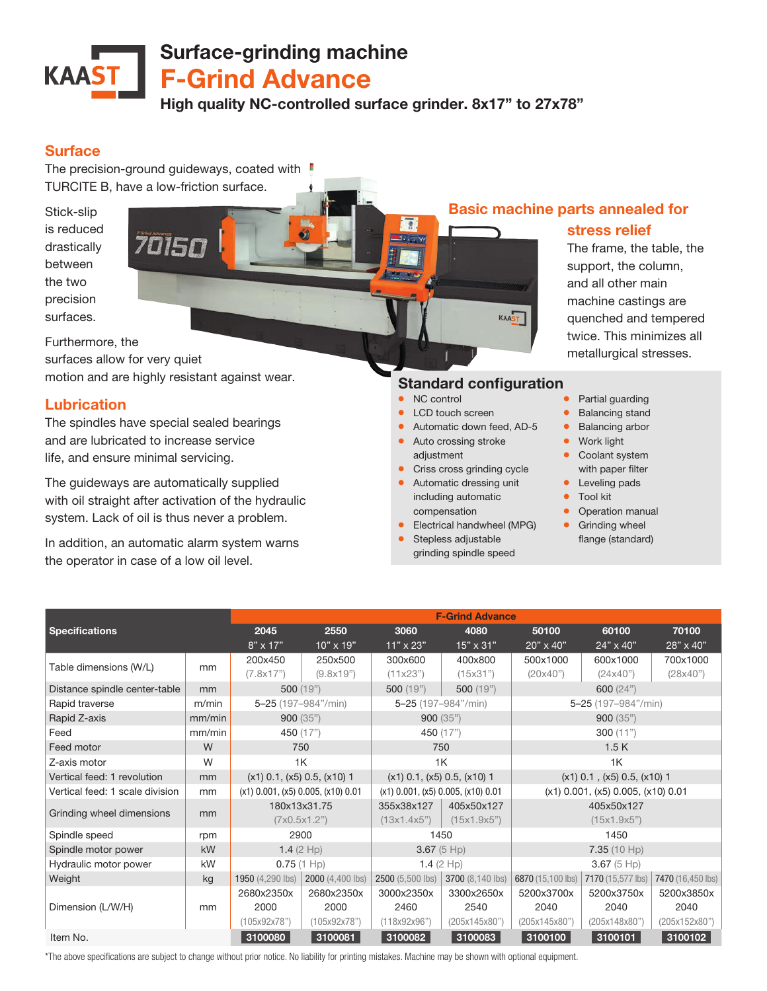# Surface-grinding machine **KAAST** F-Grind Advance High quality NC-controlled surface grinder. 8x17" to 27x78"

### Surface

The precision-ground guideways, coated with TURCITE B, have a low-friction surface.

Stick-slip is reduced drastically between the two precision surfaces.



Furthermore, the

surfaces allow for very quiet motion and are highly resistant against wear.

### Lubrication

The spindles have special sealed bearings and are lubricated to increase service life, and ensure minimal servicing.

The guideways are automatically supplied with oil straight after activation of the hydraulic system. Lack of oil is thus never a problem.

In addition, an automatic alarm system warns the operator in case of a low oil level.

# Basic machine parts annealed for

### stress relief

The frame, the table, the support, the column, and all other main machine castings are quenched and tempered twice. This minimizes all metallurgical stresses.

## Standard configuration

KAAST

- NC control
- LCD touch screen
- Automatic down feed, AD-5
- Auto crossing stroke adjustment
- **•** Criss cross grinding cycle
- Automatic dressing unit including automatic compensation
- Electrical handwheel (MPG)
- Stepless adjustable grinding spindle speed
- Partial guarding
- Balancing stand
- Balancing arbor
- Work light
- Coolant system with paper filter
- Leveling pads
- Tool kit
- Operation manual
- **•** Grinding wheel flange (standard)

| <b>Specifications</b>           |        | <b>F-Grind Advance</b>                   |                  |                                          |                  |                                          |                   |                   |  |
|---------------------------------|--------|------------------------------------------|------------------|------------------------------------------|------------------|------------------------------------------|-------------------|-------------------|--|
|                                 |        | 2045                                     | 2550             | 3060                                     | 4080             | 50100                                    | 60100             | 70100             |  |
|                                 |        | $8" \times 17"$                          | $10" \times 19"$ | $11" \times 23"$                         | 15" x 31"        | 20" x 40"                                | 24" x 40"         | 28" x 40"         |  |
| Table dimensions (W/L)          | mm     | 200x450                                  | 250x500          | 300x600                                  | 400x800          | 500x1000                                 | 600x1000          | 700x1000          |  |
|                                 |        | (7.8x17")                                | (9.8x19")        | (11x23")                                 | (15x31")         | (20x40")                                 | (24x40")          | (28x40")          |  |
| Distance spindle center-table   | mm     | 500(19")                                 |                  | 500(19")                                 | 500 (19")        | 600 $(24")$                              |                   |                   |  |
| Rapid traverse                  | m/min  | 5-25 (197-984"/min)                      |                  | 5-25 (197-984"/min)                      |                  | 5-25 (197-984"/min)                      |                   |                   |  |
| Rapid Z-axis                    | mm/min | 900(35")                                 |                  | 900(35")                                 |                  | 900(35")                                 |                   |                   |  |
| Feed                            | mm/min | 450 (17")                                |                  | 450 (17")                                |                  | 300 $(11")$                              |                   |                   |  |
| Feed motor                      | W      | 750                                      |                  | 750                                      |                  | 1.5K                                     |                   |                   |  |
| Z-axis motor                    | W      | 1K                                       |                  | 1K                                       |                  | 1K                                       |                   |                   |  |
| Vertical feed: 1 revolution     | mm     | $(x1)$ 0.1, $(x5)$ 0.5, $(x10)$ 1        |                  | $(x1)$ 0.1, $(x5)$ 0.5, $(x10)$ 1        |                  | $(x1)$ 0.1, $(x5)$ 0.5, $(x10)$ 1        |                   |                   |  |
| Vertical feed: 1 scale division | mm     | $(x1)$ 0.001, $(x5)$ 0.005, $(x10)$ 0.01 |                  | $(x1)$ 0.001, $(x5)$ 0.005, $(x10)$ 0.01 |                  | $(x1)$ 0.001, $(x5)$ 0.005, $(x10)$ 0.01 |                   |                   |  |
| Grinding wheel dimensions       | mm     | 180x13x31.75                             |                  | 355x38x127                               | 405x50x127       | 405x50x127                               |                   |                   |  |
|                                 |        | (7x0.5x1.2")                             |                  | (13x1.4x5")                              | (15x1.9x5")      | (15x1.9x5")                              |                   |                   |  |
| Spindle speed                   | rpm    | 2900                                     |                  | 1450                                     |                  | 1450                                     |                   |                   |  |
| Spindle motor power             | kW     | 1.4 $(2$ Hp)                             |                  | 3.67(5 Hp)                               |                  | 7.35(10 Hp)                              |                   |                   |  |
| Hydraulic motor power           | kW     | $0.75(1$ Hp)                             |                  | 1.4 $(2$ Hp)                             |                  | 3.67(5 Hp)                               |                   |                   |  |
| Weight                          | kg     | 1950 (4,290 lbs)                         | 2000 (4,400 lbs) | 2500 (5,500 lbs)                         | 3700 (8,140 lbs) | 6870 (15,100 lbs)                        | 7170 (15,577 lbs) | 7470 (16,450 lbs) |  |
| Dimension (L/W/H)               | mm     | 2680x2350x                               | 2680x2350x       | 3000x2350x                               | 3300x2650x       | 5200x3700x                               | 5200x3750x        | 5200x3850x        |  |
|                                 |        | 2000                                     | 2000             | 2460                                     | 2540             | 2040                                     | 2040              | 2040              |  |
|                                 |        | (105x92x78")                             | (105x92x78")     | (118x92x96")                             | (205x145x80")    | (205x145x80")                            | (205x148x80")     | (205x152x80")     |  |
| Item No.                        |        | 3100080                                  | 3100081          | 3100082                                  | 3100083          | 3100100                                  | 3100101           | 3100102           |  |

\*The above specifications are subject to change without prior notice. No liability for printing mistakes. Machine may be shown with optional equipment.